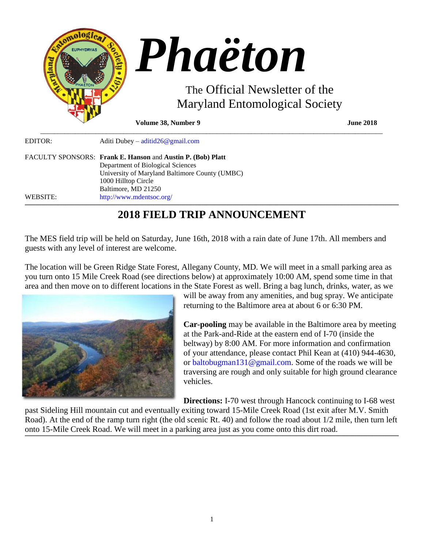

| EDITOR:  | Aditi Dubey – aditid $26@$ gmail.com                        |
|----------|-------------------------------------------------------------|
|          | FACULTY SPONSORS: Frank E. Hanson and Austin P. (Bob) Platt |
|          | Department of Biological Sciences                           |
|          | University of Maryland Baltimore County (UMBC)              |
|          | 1000 Hilltop Circle                                         |
|          | Baltimore, MD 21250                                         |
| WEBSITE: | http://www.mdentsoc.org/                                    |

# **2018 FIELD TRIP ANNOUNCEMENT**

The MES field trip will be held on Saturday, June 16th, 2018 with a rain date of June 17th. All members and guests with any level of interest are welcome.

The location will be Green Ridge State Forest, Allegany County, MD. We will meet in a small parking area as you turn onto 15 Mile Creek Road (see directions below) at approximately 10:00 AM, spend some time in that area and then move on to different locations in the State Forest as well. Bring a bag lunch, drinks, water, as we



will be away from any amenities, and bug spray. We anticipate returning to the Baltimore area at about 6 or 6:30 PM.

**Car-pooling** may be available in the Baltimore area by meeting at the Park-and-Ride at the eastern end of I-70 (inside the beltway) by 8:00 AM. For more information and confirmation of your attendance, please contact Phil Kean at (410) 944-4630, or [baltobugman131@gmail.com.](mailto:baltobugman131@gmail.com) Some of the roads we will be traversing are rough and only suitable for high ground clearance vehicles.

**Directions:** I-70 west through Hancock continuing to I-68 west past Sideling Hill mountain cut and eventually exiting toward 15-Mile Creek Road (1st exit after M.V. Smith Road). At the end of the ramp turn right (the old scenic Rt. 40) and follow the road about 1/2 mile, then turn left onto 15-Mile Creek Road. We will meet in a parking area just as you come onto this dirt road.

**\_\_\_\_\_\_\_\_\_\_\_\_\_\_\_\_\_\_\_\_\_\_\_\_\_\_\_\_\_\_\_\_\_\_\_\_\_\_\_\_\_\_\_\_\_\_\_\_\_\_\_\_\_\_\_\_\_\_\_\_\_\_\_\_\_\_\_\_\_\_\_\_\_\_\_\_\_\_\_\_\_\_\_\_\_\_\_\_\_\_\_\_\_\_\_\_\_\_\_\_\_\_\_\_\_\_\_\_\_\_\_\_\_\_\_\_\_\_\_\_\_\_\_\_\_\_\_\_\_\_\_\_\_\_\_\_\_\_\_\_\_\_\_\_\_\_\_\_\_\_\_\_\_\_\_\_\_\_\_\_\_\_\_\_\_\_\_\_\_\_\_\_\_\_\_\_\_\_\_\_\_\_\_\_\_\_\_\_\_\_\_\_\_\_\_\_\_\_\_\_\_\_\_\_\_\_\_\_\_\_\_\_\_\_\_\_\_\_\_\_\_\_\_\_\_\_\_\_\_\_\_\_\_\_\_\_\_\_\_\_\_\_\_\_\_\_\_\_\_\_\_\_\_\_\_\_\_\_\_\_\_\_\_\_\_\_\_\_\_\_\_\_\_\_\_\_\_\_\_\_\_\_\_\_\_\_\_\_\_\_\_\_\_\_\_\_\_\_\_\_\_\_\_\_\_\_\_\_\_\_\_\_\_\_\_\_\_\_\_\_\_\_\_\_\_\_\_\_\_\_\_\_\_\_\_\_\_\_\_\_\_\_\_\_\_\_\_\_\_\_\_\_\_\_\_\_\_\_\_\_**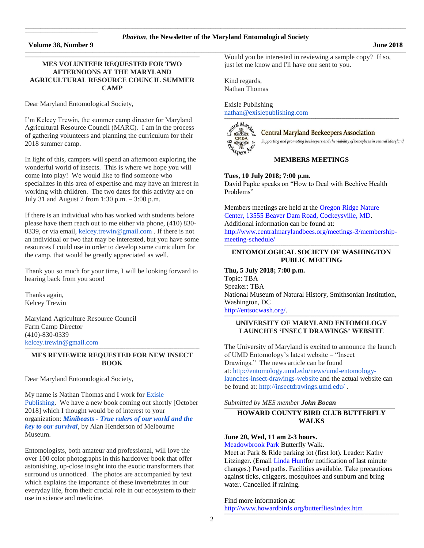# \_\_\_\_\_\_\_\_\_\_\_\_\_\_\_\_\_\_\_\_\_\_\_\_\_\_\_\_\_\_\_\_\_\_\_\_\_\_\_\_\_\_\_\_\_\_\_\_\_\_\_\_\_\_\_\_\_\_\_\_\_\_\_\_\_\_\_\_\_\_\_\_\_\_\_\_\_\_\_\_\_\_\_\_\_\_\_\_\_\_\_\_\_\_\_\_\_\_\_\_\_\_\_\_\_\_\_\_\_\_\_\_\_\_\_\_\_\_\_\_\_\_\_\_\_\_\_\_\_\_\_\_\_\_\_\_\_\_\_\_\_\_\_\_\_\_\_\_\_\_\_\_\_\_\_\_\_\_\_\_\_\_\_\_\_\_\_\_\_\_\_\_\_\_\_\_\_\_\_\_\_\_\_\_\_\_\_\_\_\_\_\_\_\_\_\_\_\_\_\_\_\_\_\_\_\_\_\_\_\_\_\_\_\_\_\_\_\_\_\_ *Phaëton*, **the Newsletter of the Maryland Entomological Society** \_\_\_\_\_\_\_\_\_\_\_\_\_\_\_\_\_\_\_\_\_\_\_\_\_\_\_\_\_\_\_\_\_\_\_\_\_\_\_\_\_\_\_\_\_\_\_\_\_\_\_\_\_\_\_\_\_\_\_\_\_\_\_\_\_\_\_\_\_\_\_\_\_\_\_\_\_\_\_\_\_\_\_\_\_\_\_\_\_\_\_\_\_\_\_\_\_\_\_\_\_\_\_\_\_\_\_\_\_\_\_\_\_\_\_\_\_\_\_\_\_\_\_\_\_\_\_\_\_\_\_\_\_\_\_\_\_\_\_\_\_\_\_\_\_\_\_\_\_\_\_\_\_\_\_\_\_\_\_\_\_\_\_\_\_\_\_\_\_\_\_\_\_\_\_\_\_\_\_\_\_\_\_\_\_\_\_\_\_\_\_\_\_\_\_\_\_\_\_\_\_\_\_\_\_\_\_\_\_\_\_\_\_\_\_\_\_\_\_\_

## **Volume 38, Number 9 June 2018**

 $\mathcal{L}_\text{max}$  and  $\mathcal{L}_\text{max}$  and  $\mathcal{L}_\text{max}$  are the set of the set of the set of the set of the set of the set of the set of the set of the set of the set of the set of the set of the set of the set of the set of th

# **MES VOLUNTEER REQUESTED FOR TWO AFTERNOONS AT THE MARYLAND AGRICULTURAL RESOURCE COUNCIL SUMMER CAMP**

**\_\_\_\_\_\_\_\_\_\_\_\_\_\_\_\_\_\_\_\_\_\_\_\_\_\_\_\_\_\_\_\_\_\_\_\_\_\_\_\_\_\_\_\_\_\_\_\_\_\_\_\_\_\_\_\_\_\_\_\_\_\_\_\_\_\_\_\_\_\_\_\_\_\_\_\_\_\_\_\_\_\_\_\_\_\_\_\_\_\_\_\_\_\_\_\_\_\_\_\_\_\_\_\_\_\_\_\_\_\_\_\_\_\_\_\_\_\_\_\_\_\_\_\_\_\_\_\_\_\_\_\_\_\_\_\_\_\_\_\_\_\_\_\_\_\_\_\_\_\_\_\_\_\_\_\_\_\_\_\_\_\_\_\_\_\_\_\_**

Dear Maryland Entomological Society,

I'm Kelcey Trewin, the summer camp director for Maryland Agricultural Resource Council (MARC). I am in the process of gathering volunteers and planning the curriculum for their 2018 summer camp.

In light of this, campers will spend an afternoon exploring the wonderful world of insects. This is where we hope you will come into play! We would like to find someone who specializes in this area of expertise and may have an interest in working with children. The two dates for this activity are on July 31 and August 7 from 1:30 p.m. – 3:00 p.m.

If there is an individual who has worked with students before please have them reach out to me either via phone, (410) 830 0339, or via email, [kelcey.trewin@gmail.com](mailto:kelcey.trewin@gmail.com) . If there is not an individual or two that may be interested, but you have some resources I could use in order to develop some curriculum for the camp, that would be greatly appreciated as well.

Thank you so much for your time, I will be looking forward to hearing back from you soon!

Thanks again, Kelcey Trewin

Maryland Agriculture Resource Council Farm Camp Director (410)-830-0339 [kelcey.trewin@gmail.com](mailto:kelcey.trewin@gmail.com)

**\_\_\_\_\_\_\_\_\_\_\_\_\_\_\_\_\_\_\_\_\_\_\_\_\_\_\_\_\_\_\_\_\_\_\_\_\_\_\_\_\_\_\_\_\_\_\_\_\_\_\_\_\_\_\_\_\_\_\_\_\_\_\_\_\_\_\_\_\_\_\_\_\_\_\_\_\_\_\_\_\_\_\_\_\_\_\_\_\_\_\_\_\_\_\_\_\_\_\_\_\_\_\_\_\_\_\_\_\_\_\_\_\_\_\_\_\_\_\_\_\_\_\_\_\_\_\_\_\_\_\_\_\_\_\_\_\_\_\_\_\_\_\_\_\_\_\_\_\_\_\_\_\_\_\_\_\_\_\_\_\_\_\_\_\_\_\_\_ MES REVIEWER REQUESTED FOR NEW INSECT BOOK**

Dear Maryland Entomological Society,

My name is Nathan Thomas and I work for [Exisle](https://exislepublishing.com/about-us/)  [Publishing.](https://exislepublishing.com/about-us/) We have a new book coming out shortly [October 2018] which I thought would be of interest to your organization: *Minibeasts - [True rulers of our world and the](https://exislepublishing.com/product/minibeasts/)  [key to our survival](https://exislepublishing.com/product/minibeasts/)*, by Alan Henderson of Melbourne Museum.

Entomologists, both amateur and professional, will love the over 100 color photographs in this hardcover book that offer astonishing, up-close insight into the exotic transformers that surround us unnoticed. The photos are accompanied by text which explains the importance of these invertebrates in our everyday life, from their crucial role in our ecosystem to their use in science and medicine.

Would you be interested in reviewing a sample copy? If so, just let me know and I'll have one sent to you.

Kind regards, Nathan Thomas

Exisle Publishing [nathan@exislepublishing.com](mailto:nathan@exislepublishing.com)



**Central Maryland Beekeepers Association** 

Supporting and promoting beekeepers and the viability of honeybees in central Maryland

# **MEMBERS MEETINGS**

**\_\_\_\_\_\_\_\_\_\_\_\_\_\_\_\_\_\_\_\_\_\_\_\_\_\_\_\_\_\_\_\_\_\_\_\_\_\_\_\_\_\_\_\_\_\_\_\_\_\_\_\_\_\_\_\_\_\_\_\_\_\_\_\_\_\_\_\_\_\_\_\_\_\_\_\_\_\_\_\_\_\_\_\_\_\_\_\_\_\_\_\_\_\_\_\_\_\_\_\_\_\_\_\_\_\_\_\_\_\_\_\_\_\_\_\_\_\_\_\_\_\_\_\_\_\_\_\_\_\_\_\_\_\_\_\_\_\_\_\_\_\_\_\_\_\_\_\_\_\_\_\_\_\_\_\_\_\_\_\_\_\_\_\_\_\_\_\_**

**Tues, 10 July 2018; 7:00 p.m.** David Papke speaks on "How to Deal with Beehive Health Problems"

Members meetings are held at th[e Oregon Ridge Nature](https://www.google.com/maps/place/Oregon+Ridge+Nature+Center/@39.4970222,-76.6868097,15z/data=!4m2!3m1!1s0x0:0x9fbed14b2a0e98dd?sa=X&ved=0ahUKEwjkwILmv6jQAhXs6YMKHVsmDwgQ_BIIdDAK)  [Center, 13555 Beaver Dam Road, Cockeysville, MD.](https://www.google.com/maps/place/Oregon+Ridge+Nature+Center/@39.4970222,-76.6868097,15z/data=!4m2!3m1!1s0x0:0x9fbed14b2a0e98dd?sa=X&ved=0ahUKEwjkwILmv6jQAhXs6YMKHVsmDwgQ_BIIdDAK)  Additional information can be found at: [http://www.centralmarylandbees.org/meetings-3/membership](http://www.centralmarylandbees.org/meetings-3/membership-meeting-schedule/)[meeting-schedule/](http://www.centralmarylandbees.org/meetings-3/membership-meeting-schedule/)

#### **\_\_\_\_\_\_\_\_\_\_\_\_\_\_\_\_\_\_\_\_\_\_\_\_\_\_\_\_\_\_\_\_\_\_\_\_\_\_\_\_\_\_\_\_\_\_\_\_\_\_\_\_\_\_\_\_\_\_\_\_\_\_\_\_\_\_\_\_\_\_\_\_\_\_\_\_\_\_\_\_\_\_\_\_\_\_\_\_\_\_\_\_\_\_\_\_\_\_\_\_\_\_\_\_\_\_\_\_\_\_\_\_\_\_\_\_\_\_\_\_\_\_\_\_\_\_\_\_\_\_\_\_\_\_\_\_\_\_\_\_\_\_\_\_\_\_\_\_\_\_\_\_\_\_\_\_\_\_\_\_\_\_\_\_\_\_\_\_ ENTOMOLOGICAL SOCIETY OF WASHINGTON PUBLIC MEETING**

**Thu, 5 July 2018; 7:00 p.m.** Topic: TBA Speaker: TBA National Museum of Natural History, Smithsonian Institution, Washington, DC [http://entsocwash.org/.](http://entsocwash.org/)

#### **\_\_\_\_\_\_\_\_\_\_\_\_\_\_\_\_\_\_\_\_\_\_\_\_\_\_\_\_\_\_\_\_\_\_\_\_\_\_\_\_\_\_\_\_\_\_\_\_\_\_\_\_\_\_\_\_\_\_\_\_\_\_\_\_\_\_\_\_\_\_\_\_\_\_\_\_\_\_\_\_\_\_\_\_\_\_\_\_\_\_\_\_\_\_\_\_\_\_\_\_\_\_\_\_\_\_\_\_\_\_\_\_\_\_\_\_\_\_\_\_\_\_\_\_\_\_\_\_\_\_\_\_\_\_\_\_\_\_\_\_\_\_\_\_\_\_\_\_\_\_\_\_\_\_\_\_\_\_\_\_\_\_\_\_\_\_\_\_ UNIVERSITY OF MARYLAND ENTOMOLOGY LAUNCHES 'INSECT DRAWINGS' WEBSITE**

The University of Maryland is excited to announce the launch of UMD Entomology's latest website – "Insect Drawings." The news article can be found at: [http://entomology.umd.edu/news/umd-entomology](http://entomology.umd.edu/news/umd-entomology-launches-insect-drawings-website)[launches-insect-drawings-website](http://entomology.umd.edu/news/umd-entomology-launches-insect-drawings-website) and the actual website can be found at: <http://insectdrawings.umd.edu/> .

*Submitted by MES member John Bocan*

#### **\_\_\_\_\_\_\_\_\_\_\_\_\_\_\_\_\_\_\_\_\_\_\_\_\_\_\_\_\_\_\_\_\_\_\_\_\_\_\_\_\_\_\_\_\_\_\_\_\_\_\_\_\_\_\_\_\_\_\_\_\_\_\_\_\_\_\_\_\_\_\_\_\_\_\_\_\_\_\_\_\_\_\_\_\_\_\_\_\_\_\_\_\_\_\_\_\_\_\_\_\_\_\_\_\_\_\_\_\_\_\_\_\_\_\_\_\_\_\_\_\_\_\_\_\_\_\_\_\_\_\_\_\_\_\_\_\_\_\_\_\_\_\_\_\_\_\_\_\_\_\_\_\_\_\_\_\_\_\_\_\_\_\_\_ HOWARD COUNTY BIRD CLUB BUTTERFLY WALKS**

### **June 20, Wed, 11 am 2-3 hours.**

[Meadowbrook Park](http://www.howardbirds.org/birdinghowardcounty/Meadowbrook/meadowbrook_directions.htm) Butterfly Walk.

Meet at Park & Ride parking lot (first lot). Leader: Kathy Litzinger. (Email [Linda Huntf](mailto:raven10322@hotmail.com?subject=Butterfly%20Walk)or notification of last minute changes.) Paved paths. Facilities available. Take precautions against ticks, chiggers, mosquitoes and sunburn and bring water. Cancelled if raining.

**\_\_\_\_\_\_\_\_\_\_\_\_\_\_\_\_\_\_\_\_\_\_\_\_\_\_\_\_\_\_\_\_\_\_\_\_\_\_\_\_\_\_\_\_\_\_\_\_\_\_\_\_\_\_\_\_\_\_\_\_\_\_\_\_\_\_\_\_\_\_\_\_\_\_\_\_\_\_\_\_\_\_\_\_\_\_\_\_\_\_\_\_\_\_\_\_\_\_\_\_\_\_\_\_\_\_\_\_\_\_\_\_\_\_\_\_\_\_\_\_\_\_\_\_\_\_\_\_\_\_\_\_\_\_\_\_\_\_\_\_\_\_\_\_\_\_\_\_\_\_\_\_\_\_\_\_\_\_\_\_\_\_\_\_\_\_\_\_**

Find more information at: <http://www.howardbirds.org/butterflies/index.htm>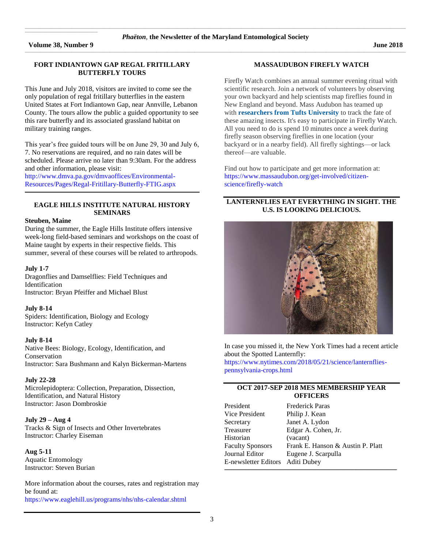**Volume 38, Number 9 June 2018**

 $\mathcal{L}_\text{max}$  and  $\mathcal{L}_\text{max}$  and  $\mathcal{L}_\text{max}$  are the set of the set of the set of the set of the set of the set of the set of the set of the set of the set of the set of the set of the set of the set of the set of th

# **FORT INDIANTOWN GAP REGAL FRITILLARY BUTTERFLY TOURS**

This June and July 2018, visitors are invited to come see the only population of regal fritillary butterflies in the eastern United States at Fort Indiantown Gap, near Annville, Lebanon County. The tours allow the public a guided opportunity to see this rare butterfly and its associated grassland habitat on military training ranges.

This year's free guided tours will be on June 29, 30 and July 6, 7. No reservations are required, and no rain dates will be scheduled. Please arrive no later than 9:30am. For the address and other information, please visit:

[http://www.dmva.pa.gov/dmvaoffices/Environmental-](http://www.dmva.pa.gov/dmvaoffices/Environmental-Resources/Pages/Regal-Fritillary-Butterfly-FTIG.aspx)[Resources/Pages/Regal-Fritillary-Butterfly-FTIG.aspx](http://www.dmva.pa.gov/dmvaoffices/Environmental-Resources/Pages/Regal-Fritillary-Butterfly-FTIG.aspx)

# **EAGLE HILLS INSTITUTE NATURAL HISTORY SEMINARS**

**\_\_\_\_\_\_\_\_\_\_\_\_\_\_\_\_\_\_\_\_\_\_\_\_\_\_\_\_\_\_\_\_\_\_\_\_\_\_\_\_\_\_\_\_\_\_\_\_\_\_\_\_\_\_\_\_\_\_\_\_\_\_\_\_\_\_\_\_\_\_\_\_\_\_\_\_\_\_\_\_\_\_\_\_\_\_\_\_\_\_\_\_\_\_\_\_\_\_\_\_\_\_\_\_\_\_\_\_\_\_\_\_\_\_\_\_\_\_\_\_\_\_\_\_\_\_\_\_\_\_\_\_\_\_\_\_\_\_\_\_\_\_\_\_\_\_\_\_\_\_\_\_\_\_\_\_\_\_\_\_\_\_\_\_\_\_\_\_**

#### **Steuben, Maine**

During the summer, the Eagle Hills Institute offers intensive week-long field-based seminars and workshops on the coast of Maine taught by experts in their respective fields. This summer, several of these courses will be related to arthropods.

#### **July 1-7**

Dragonflies and Damselflies: Field Techniques and Identification Instructor: Bryan Pfeiffer and Michael Blust

#### **July 8-14**

Spiders: Identification, Biology and Ecology Instructor: Kefyn Catley

# **July 8-14**

Native Bees: Biology, Ecology, Identification, and Conservation Instructor: Sara Bushmann and Kalyn Bickerman-Martens

#### **July 22-28**

Microlepidoptera: Collection, Preparation, Dissection, Identification, and Natural History Instructor: Jason Dombroskie

#### **July 29 – Aug 4**

Tracks & Sign of Insects and Other Invertebrates Instructor: Charley Eiseman

# **Aug 5-11**

Aquatic Entomology Instructor: Steven Burian

More information about the courses, rates and registration may be found at: <https://www.eaglehill.us/programs/nhs/nhs-calendar.shtml>

# **MASSAUDUBON FIREFLY WATCH**

Firefly Watch combines an annual summer evening ritual with scientific research. Join a network of volunteers by observing your own backyard and help scientists map fireflies found in New England and beyond. Mass Audubon has teamed up with **[researchers](https://www.massaudubon.org/get-involved/citizen-science/firefly-watch/about-the-researchers) from Tufts University** to track the fate of these amazing insects. It's easy to participate in Firefly Watch. All you need to do is spend 10 minutes once a week during firefly season observing fireflies in one location (your backyard or in a nearby field). All firefly sightings—or lack thereof—are valuable.

Find out how to participate and get more information at: [https://www.massaudubon.org/get-involved/citizen](https://www.massaudubon.org/get-involved/citizen-science/firefly-watch)[science/firefly-watch](https://www.massaudubon.org/get-involved/citizen-science/firefly-watch)

# **LANTERNFLIES EAT EVERYTHING IN SIGHT. THE U.S. IS LOOKING DELICIOUS.**



In case you missed it, the New York Times had a recent article about the Spotted Lanternfly:

[https://www.nytimes.com/2018/05/21/science/lanternflies](https://www.nytimes.com/2018/05/21/science/lanternflies-pennsylvania-crops.html)[pennsylvania-crops.html](https://www.nytimes.com/2018/05/21/science/lanternflies-pennsylvania-crops.html)

# **OCT 2017-SEP 2018 MES MEMBERSHIP YEAR OFFICERS**

| Vice President<br>Philip J. Kean<br>Janet A. Lydon<br>Secretary<br>Treasurer<br>Edgar A. Cohen, Jr.<br>Historian<br>(vacant)<br><b>Faculty Sponsors</b><br>Journal Editor<br>Eugene J. Scarpulla<br>E-newsletter Editors Aditi Dubey | President | <b>Frederick Paras</b>            |
|--------------------------------------------------------------------------------------------------------------------------------------------------------------------------------------------------------------------------------------|-----------|-----------------------------------|
|                                                                                                                                                                                                                                      |           |                                   |
|                                                                                                                                                                                                                                      |           |                                   |
|                                                                                                                                                                                                                                      |           |                                   |
|                                                                                                                                                                                                                                      |           |                                   |
|                                                                                                                                                                                                                                      |           | Frank E. Hanson & Austin P. Platt |
|                                                                                                                                                                                                                                      |           |                                   |
|                                                                                                                                                                                                                                      |           |                                   |

**\_\_\_\_\_\_\_\_\_\_\_\_\_\_\_\_\_\_\_\_\_\_\_\_\_\_\_\_\_\_\_\_\_\_\_\_\_\_\_\_\_\_\_\_\_\_\_\_\_\_\_\_\_\_\_\_\_\_\_\_\_\_\_\_\_\_\_\_\_\_\_\_\_\_\_\_\_\_\_\_\_\_\_\_\_\_\_\_\_\_\_\_\_\_\_\_\_\_\_\_\_\_\_\_\_\_\_\_\_\_\_\_\_\_\_\_\_\_\_\_\_\_\_\_\_\_\_\_\_\_\_\_\_\_\_\_\_\_\_\_\_\_\_\_\_\_\_\_\_\_\_\_\_\_\_\_\_\_\_\_\_\_\_\_\_\_**